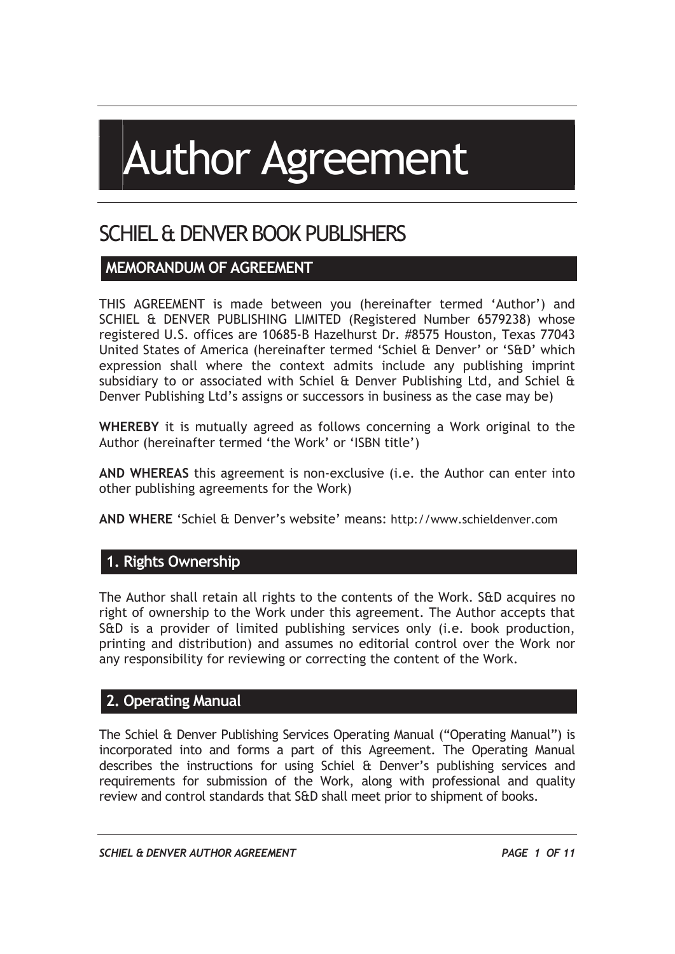# Author Agreement

## SCHIEL & DENVER BOOK PUBLISHERS

#### **MEMORANDUM OF AGREEMENT**

THIS AGREEMENT is made between you (hereinafter termed 'Author') and SCHIEL & DENVER PUBLISHING LIMITED (Registered Number 6579238) whose registered U.S. offices are 10685-B Hazelhurst Dr. #8575 Houston, Texas 77043 United States of America (hereinafter termed 'Schiel & Denver' or 'S&D' which expression shall where the context admits include any publishing imprint subsidiary to or associated with Schiel  $\theta$  Denver Publishing Ltd, and Schiel  $\theta$ Denver Publishing Ltd's assigns or successors in business as the case may be)

**WHEREBY** it is mutually agreed as follows concerning a Work original to the Author (hereinafter termed 'the Work' or 'ISBN title')

**AND WHEREAS** this agreement is non-exclusive (i.e. the Author can enter into other publishing agreements for the Work)

**AND WHERE** 'Schiel & Denver's website' means: http://www.schieldenver.com

#### **1. Rights Ownership**

The Author shall retain all rights to the contents of the Work. S&D acquires no right of ownership to the Work under this agreement. The Author accepts that S&D is a provider of limited publishing services only (i.e. book production, printing and distribution) and assumes no editorial control over the Work nor any responsibility for reviewing or correcting the content of the Work.

#### **2. Operating Manual**

The Schiel & Denver Publishing Services Operating Manual ("Operating Manual") is incorporated into and forms a part of this Agreement. The Operating Manual describes the instructions for using Schiel & Denver's publishing services and requirements for submission of the Work, along with professional and quality review and control standards that S&D shall meet prior to shipment of books.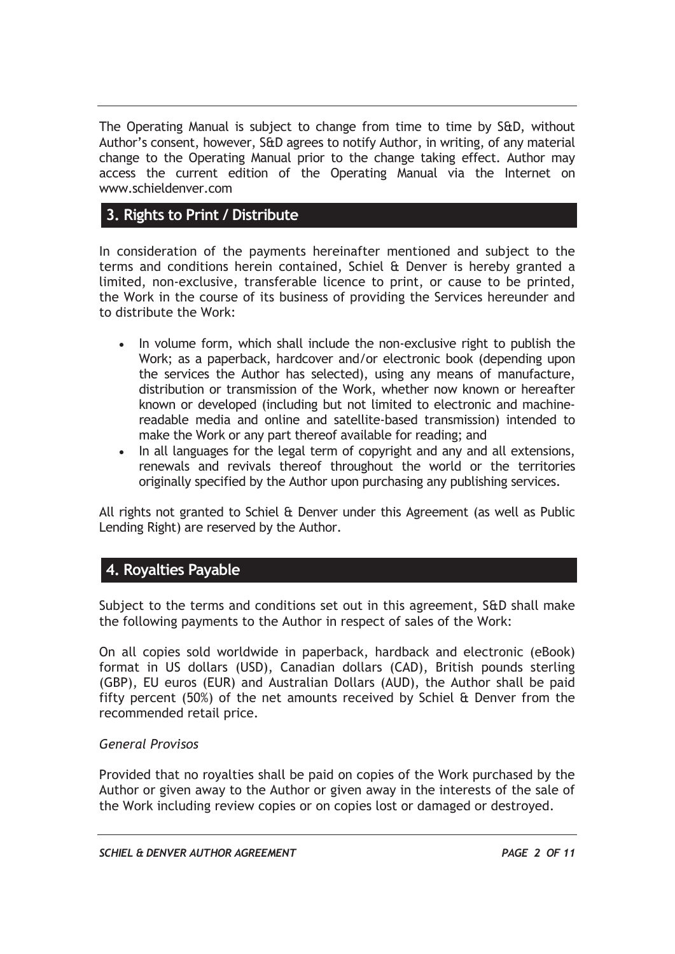The Operating Manual is subject to change from time to time by S&D, without Author's consent, however, S&D agrees to notify Author, in writing, of any material change to the Operating Manual prior to the change taking effect. Author may access the current edition of the Operating Manual via the Internet on www.schieldenver.com

#### **3. Rights to Print / Distribute**

In consideration of the payments hereinafter mentioned and subject to the terms and conditions herein contained, Schiel & Denver is hereby granted a limited, non-exclusive, transferable licence to print, or cause to be printed, the Work in the course of its business of providing the Services hereunder and to distribute the Work:

- In volume form, which shall include the non-exclusive right to publish the Work; as a paperback, hardcover and/or electronic book (depending upon the services the Author has selected), using any means of manufacture, distribution or transmission of the Work, whether now known or hereafter known or developed (including but not limited to electronic and machinereadable media and online and satellite-based transmission) intended to make the Work or any part thereof available for reading; and
- In all languages for the legal term of copyright and any and all extensions, renewals and revivals thereof throughout the world or the territories originally specified by the Author upon purchasing any publishing services.

All rights not granted to Schiel & Denver under this Agreement (as well as Public Lending Right) are reserved by the Author.

#### **4. Royalties Payable**

Subject to the terms and conditions set out in this agreement, S&D shall make the following payments to the Author in respect of sales of the Work:

On all copies sold worldwide in paperback, hardback and electronic (eBook) format in US dollars (USD), Canadian dollars (CAD), British pounds sterling (GBP), EU euros (EUR) and Australian Dollars (AUD), the Author shall be paid fifty percent (50%) of the net amounts received by Schiel & Denver from the recommended retail price.

#### *General Provisos*

Provided that no royalties shall be paid on copies of the Work purchased by the Author or given away to the Author or given away in the interests of the sale of the Work including review copies or on copies lost or damaged or destroyed.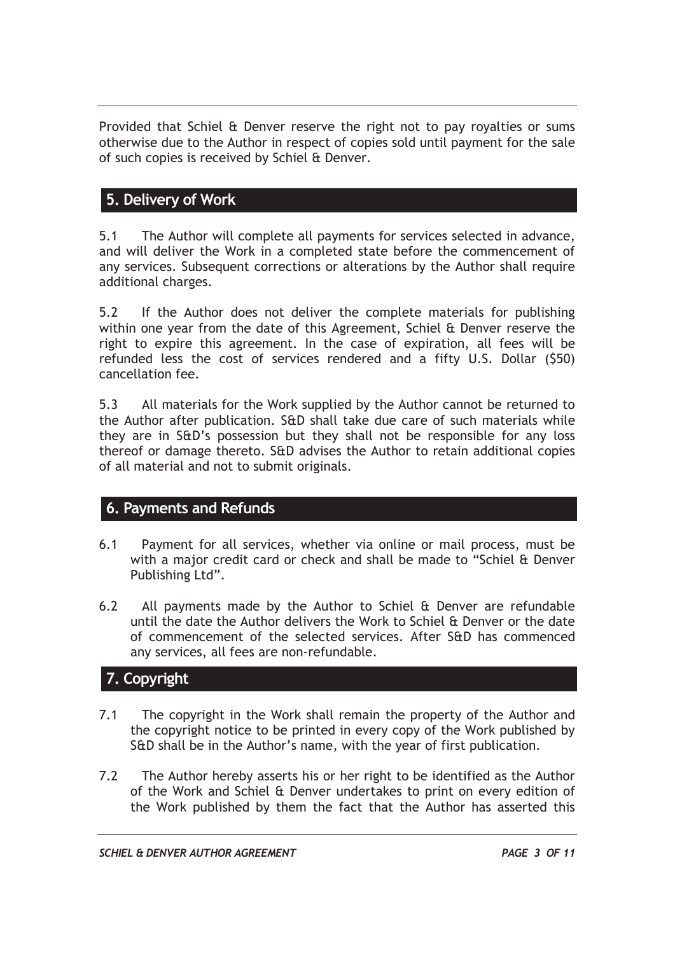Provided that Schiel & Denver reserve the right not to pay royalties or sums otherwise due to the Author in respect of copies sold until payment for the sale of such copies is received by Schiel & Denver.

#### **5. Delivery of Work**

5.1 The Author will complete all payments for services selected in advance, and will deliver the Work in a completed state before the commencement of any services. Subsequent corrections or alterations by the Author shall require additional charges.

5.2 If the Author does not deliver the complete materials for publishing within one year from the date of this Agreement, Schiel & Denver reserve the right to expire this agreement. In the case of expiration, all fees will be refunded less the cost of services rendered and a fifty U.S. Dollar (\$50) cancellation fee.

5.3 All materials for the Work supplied by the Author cannot be returned to the Author after publication. S&D shall take due care of such materials while they are in S&D's possession but they shall not be responsible for any loss thereof or damage thereto. S&D advises the Author to retain additional copies of all material and not to submit originals.

#### **6. Payments and Refunds**

- 6.1 Payment for all services, whether via online or mail process, must be with a major credit card or check and shall be made to "Schiel & Denver Publishing Ltd".
- 6.2 All payments made by the Author to Schiel & Denver are refundable until the date the Author delivers the Work to Schiel & Denver or the date of commencement of the selected services. After S&D has commenced any services, all fees are non-refundable.

#### **7. Copyright**

- 7.1 The copyright in the Work shall remain the property of the Author and the copyright notice to be printed in every copy of the Work published by S&D shall be in the Author's name, with the year of first publication.
- 7.2 The Author hereby asserts his or her right to be identified as the Author of the Work and Schiel & Denver undertakes to print on every edition of the Work published by them the fact that the Author has asserted this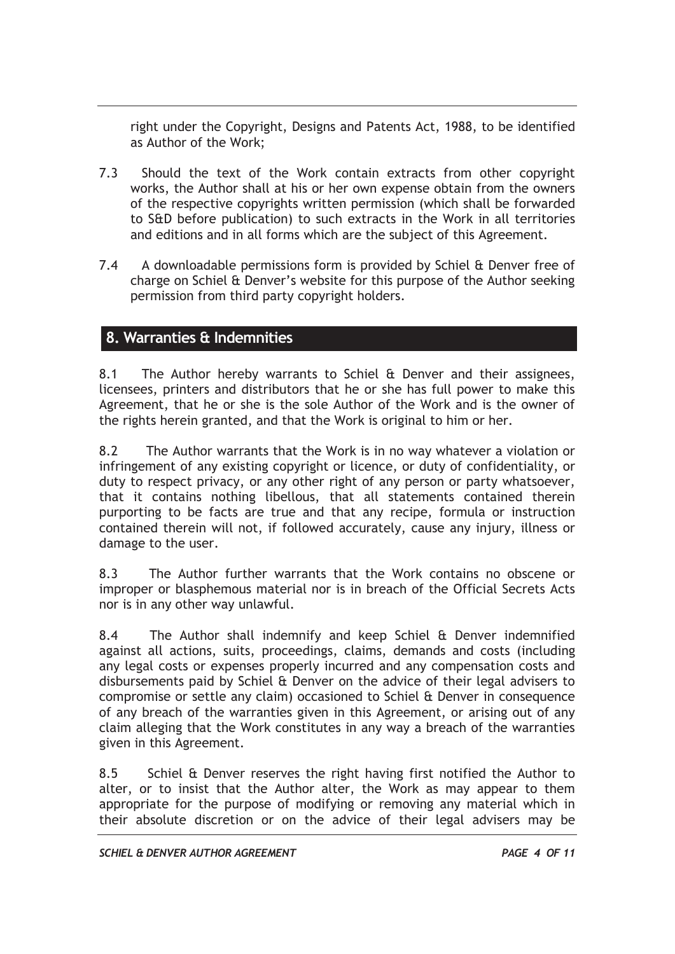right under the Copyright, Designs and Patents Act, 1988, to be identified as Author of the Work;

- 7.3 Should the text of the Work contain extracts from other copyright works, the Author shall at his or her own expense obtain from the owners of the respective copyrights written permission (which shall be forwarded to S&D before publication) to such extracts in the Work in all territories and editions and in all forms which are the subject of this Agreement.
- 7.4 A downloadable permissions form is provided by Schiel & Denver free of charge on Schiel & Denver's website for this purpose of the Author seeking permission from third party copyright holders.

#### **8. Warranties & Indemnities**

8.1 The Author hereby warrants to Schiel & Denver and their assignees, licensees, printers and distributors that he or she has full power to make this Agreement, that he or she is the sole Author of the Work and is the owner of the rights herein granted, and that the Work is original to him or her.

8.2 The Author warrants that the Work is in no way whatever a violation or infringement of any existing copyright or licence, or duty of confidentiality, or duty to respect privacy, or any other right of any person or party whatsoever, that it contains nothing libellous, that all statements contained therein purporting to be facts are true and that any recipe, formula or instruction contained therein will not, if followed accurately, cause any injury, illness or damage to the user.

8.3 The Author further warrants that the Work contains no obscene or improper or blasphemous material nor is in breach of the Official Secrets Acts nor is in any other way unlawful.

8.4 The Author shall indemnify and keep Schiel & Denver indemnified against all actions, suits, proceedings, claims, demands and costs (including any legal costs or expenses properly incurred and any compensation costs and disbursements paid by Schiel & Denver on the advice of their legal advisers to compromise or settle any claim) occasioned to Schiel & Denver in consequence of any breach of the warranties given in this Agreement, or arising out of any claim alleging that the Work constitutes in any way a breach of the warranties given in this Agreement.

8.5 Schiel & Denver reserves the right having first notified the Author to alter, or to insist that the Author alter, the Work as may appear to them appropriate for the purpose of modifying or removing any material which in their absolute discretion or on the advice of their legal advisers may be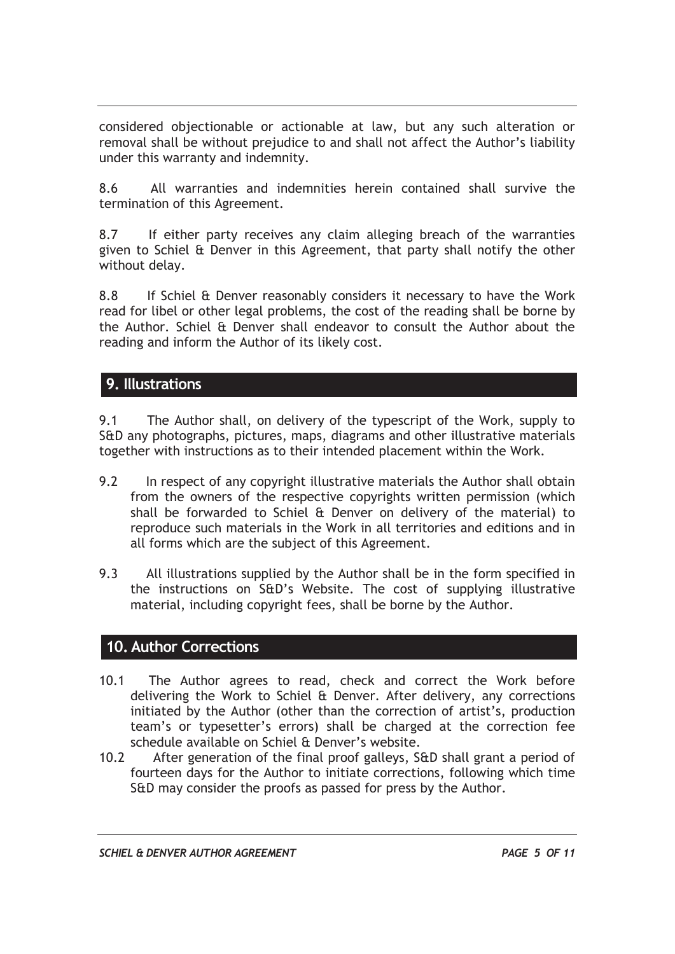considered objectionable or actionable at law, but any such alteration or removal shall be without prejudice to and shall not affect the Author's liability under this warranty and indemnity.

8.6 All warranties and indemnities herein contained shall survive the termination of this Agreement.

8.7 If either party receives any claim alleging breach of the warranties given to Schiel & Denver in this Agreement, that party shall notify the other without delay.

8.8 If Schiel & Denver reasonably considers it necessary to have the Work read for libel or other legal problems, the cost of the reading shall be borne by the Author. Schiel & Denver shall endeavor to consult the Author about the reading and inform the Author of its likely cost.

#### **9. Illustrations**

9.1 The Author shall, on delivery of the typescript of the Work, supply to S&D any photographs, pictures, maps, diagrams and other illustrative materials together with instructions as to their intended placement within the Work.

- 9.2 In respect of any copyright illustrative materials the Author shall obtain from the owners of the respective copyrights written permission (which shall be forwarded to Schiel & Denver on delivery of the material) to reproduce such materials in the Work in all territories and editions and in all forms which are the subject of this Agreement.
- 9.3 All illustrations supplied by the Author shall be in the form specified in the instructions on S&D's Website. The cost of supplying illustrative material, including copyright fees, shall be borne by the Author.

#### **10. Author Corrections**

- 10.1 The Author agrees to read, check and correct the Work before delivering the Work to Schiel & Denver. After delivery, any corrections initiated by the Author (other than the correction of artist's, production team's or typesetter's errors) shall be charged at the correction fee schedule available on Schiel & Denver's website.
- 10.2 After generation of the final proof galleys, S&D shall grant a period of fourteen days for the Author to initiate corrections, following which time S&D may consider the proofs as passed for press by the Author.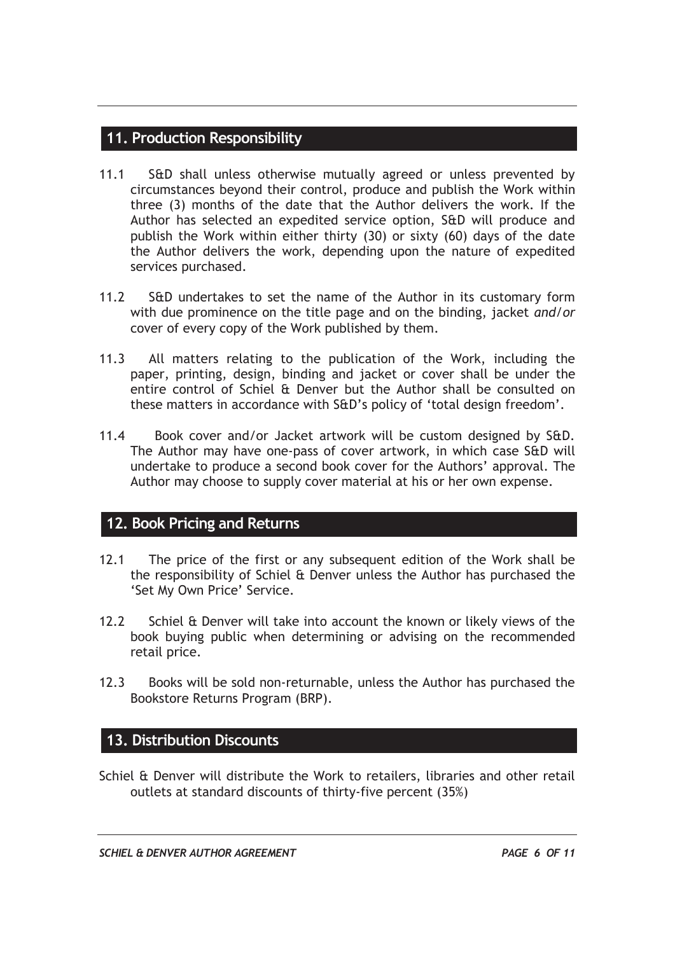#### **11. Production Responsibility**

- 11.1 S&D shall unless otherwise mutually agreed or unless prevented by circumstances beyond their control, produce and publish the Work within three (3) months of the date that the Author delivers the work. If the Author has selected an expedited service option, S&D will produce and publish the Work within either thirty (30) or sixty (60) days of the date the Author delivers the work, depending upon the nature of expedited services purchased.
- 11.2 S&D undertakes to set the name of the Author in its customary form with due prominence on the title page and on the binding, jacket *and/or* cover of every copy of the Work published by them.
- 11.3 All matters relating to the publication of the Work, including the paper, printing, design, binding and jacket or cover shall be under the entire control of Schiel & Denver but the Author shall be consulted on these matters in accordance with S&D's policy of 'total design freedom'.
- 11.4 Book cover and/or Jacket artwork will be custom designed by S&D. The Author may have one-pass of cover artwork, in which case S&D will undertake to produce a second book cover for the Authors' approval. The Author may choose to supply cover material at his or her own expense.

#### **12. Book Pricing and Returns**

- 12.1 The price of the first or any subsequent edition of the Work shall be the responsibility of Schiel & Denver unless the Author has purchased the 'Set My Own Price' Service.
- 12.2 Schiel & Denver will take into account the known or likely views of the book buying public when determining or advising on the recommended retail price.
- 12.3 Books will be sold non-returnable, unless the Author has purchased the Bookstore Returns Program (BRP).

#### **13. Distribution Discounts**

Schiel & Denver will distribute the Work to retailers, libraries and other retail outlets at standard discounts of thirty-five percent (35%)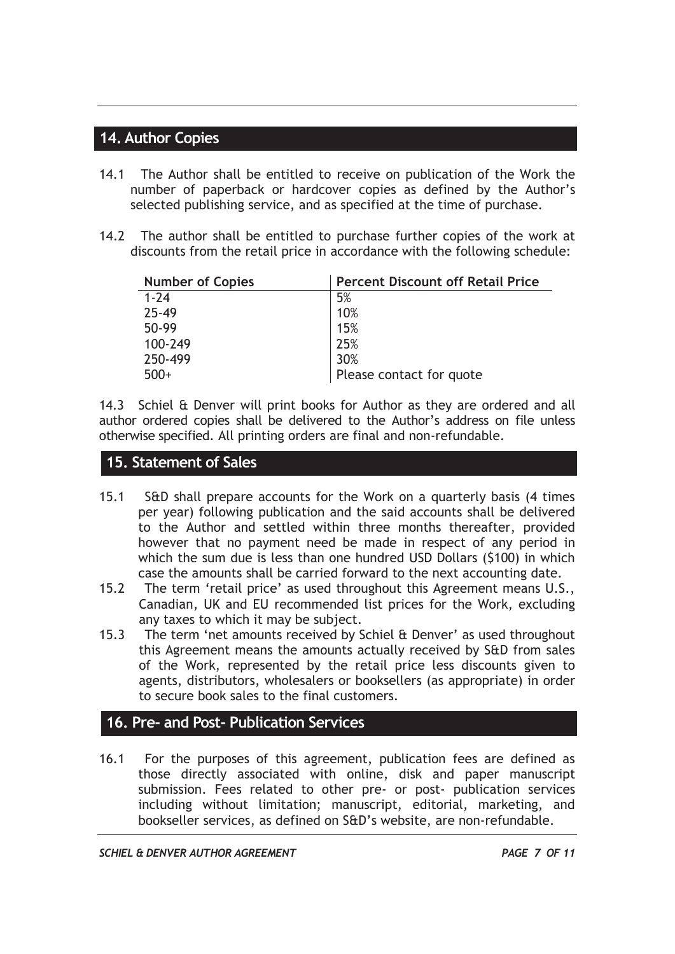#### **14. Author Copies**

- 14.1 The Author shall be entitled to receive on publication of the Work the number of paperback or hardcover copies as defined by the Author's selected publishing service, and as specified at the time of purchase.
- 14.2 The author shall be entitled to purchase further copies of the work at discounts from the retail price in accordance with the following schedule:

| <b>Number of Copies</b> | <b>Percent Discount off Retail Price</b> |
|-------------------------|------------------------------------------|
| $1 - 24$                | 5%                                       |
| 25-49                   | 10%                                      |
| 50-99                   | 15%                                      |
| 100-249                 | 25%                                      |
| 250-499                 | 30%                                      |
| $500+$                  | Please contact for quote                 |

14.3 Schiel & Denver will print books for Author as they are ordered and all author ordered copies shall be delivered to the Author's address on file unless otherwise specified. All printing orders are final and non-refundable.

#### **15. Statement of Sales**

- 15.1 S&D shall prepare accounts for the Work on a quarterly basis (4 times per year) following publication and the said accounts shall be delivered to the Author and settled within three months thereafter, provided however that no payment need be made in respect of any period in which the sum due is less than one hundred USD Dollars (\$100) in which case the amounts shall be carried forward to the next accounting date.
- 15.2 The term 'retail price' as used throughout this Agreement means U.S., Canadian, UK and EU recommended list prices for the Work, excluding any taxes to which it may be subject.
- 15.3 The term 'net amounts received by Schiel & Denver' as used throughout this Agreement means the amounts actually received by S&D from sales of the Work, represented by the retail price less discounts given to agents, distributors, wholesalers or booksellers (as appropriate) in order to secure book sales to the final customers.

#### **16. Pre- and Post- Publication Services**

16.1 For the purposes of this agreement, publication fees are defined as those directly associated with online, disk and paper manuscript submission. Fees related to other pre- or post- publication services including without limitation; manuscript, editorial, marketing, and bookseller services, as defined on S&D's website, are non-refundable.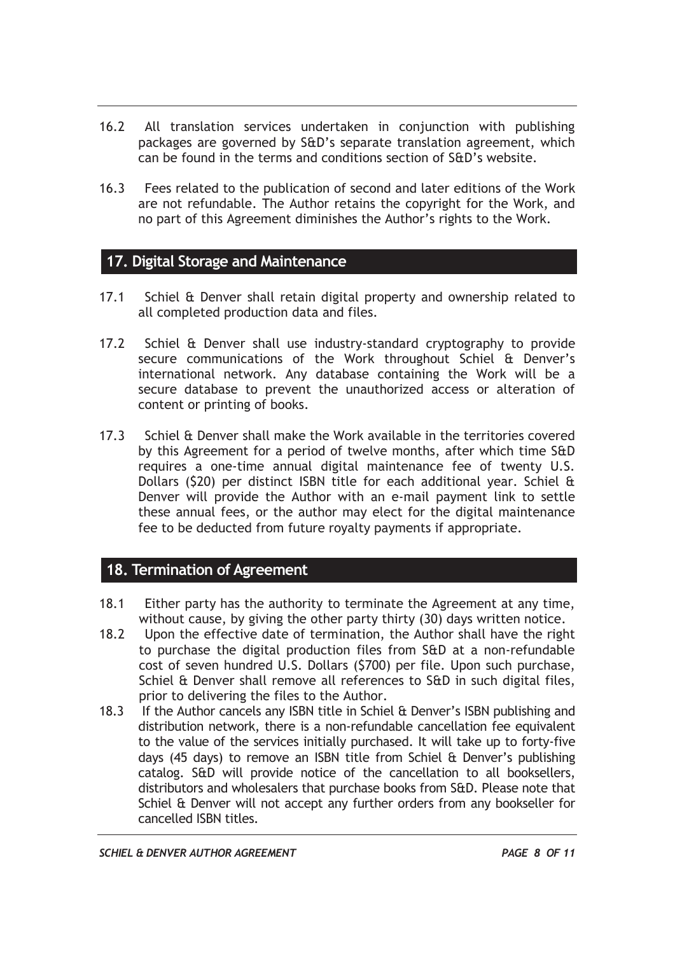- 16.2 All translation services undertaken in conjunction with publishing packages are governed by S&D's separate translation agreement, which can be found in the terms and conditions section of S&D's website.
- 16.3 Fees related to the publication of second and later editions of the Work are not refundable. The Author retains the copyright for the Work, and no part of this Agreement diminishes the Author's rights to the Work.

#### **17. Digital Storage and Maintenance**

- 17.1 Schiel & Denver shall retain digital property and ownership related to all completed production data and files.
- 17.2 Schiel & Denver shall use industry-standard cryptography to provide secure communications of the Work throughout Schiel & Denver's international network. Any database containing the Work will be a secure database to prevent the unauthorized access or alteration of content or printing of books.
- 17.3 Schiel & Denver shall make the Work available in the territories covered by this Agreement for a period of twelve months, after which time S&D requires a one-time annual digital maintenance fee of twenty U.S. Dollars (\$20) per distinct ISBN title for each additional year. Schiel & Denver will provide the Author with an e-mail payment link to settle these annual fees, or the author may elect for the digital maintenance fee to be deducted from future royalty payments if appropriate.

#### **18. Termination of Agreement**

- 18.1 Either party has the authority to terminate the Agreement at any time, without cause, by giving the other party thirty (30) days written notice.
- 18.2 Upon the effective date of termination, the Author shall have the right to purchase the digital production files from S&D at a non-refundable cost of seven hundred U.S. Dollars (\$700) per file. Upon such purchase, Schiel & Denver shall remove all references to S&D in such digital files, prior to delivering the files to the Author.
- 18.3 If the Author cancels any ISBN title in Schiel & Denver's ISBN publishing and distribution network, there is a non-refundable cancellation fee equivalent to the value of the services initially purchased. It will take up to forty-five days (45 days) to remove an ISBN title from Schiel & Denver's publishing catalog. S&D will provide notice of the cancellation to all booksellers, distributors and wholesalers that purchase books from S&D. Please note that Schiel & Denver will not accept any further orders from any bookseller for cancelled ISBN titles.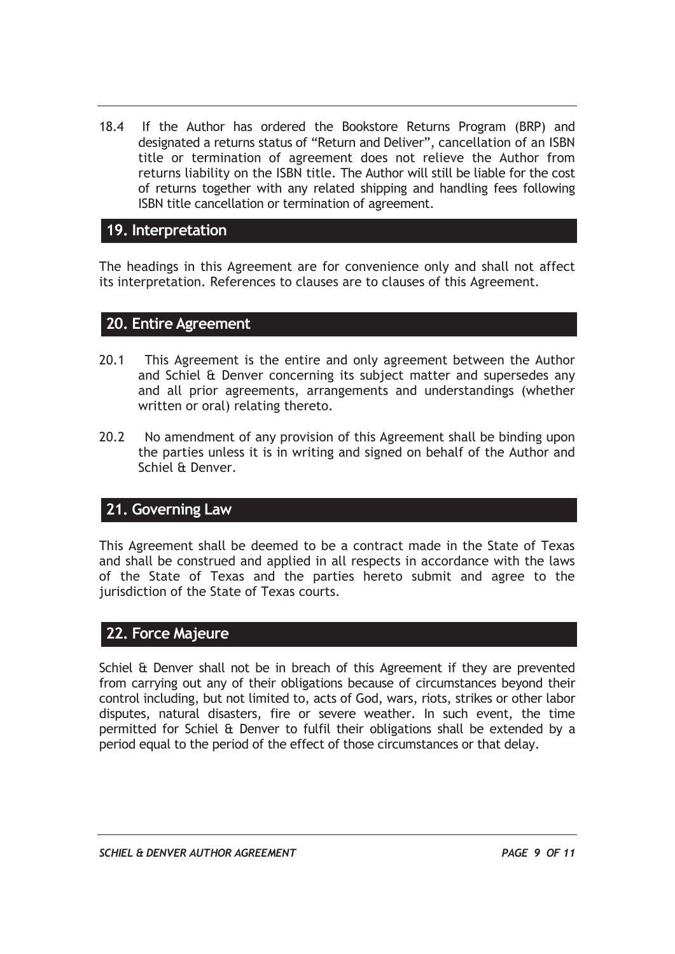18.4 If the Author has ordered the Bookstore Returns Program (BRP) and designated a returns status of "Return and Deliver", cancellation of an ISBN title or termination of agreement does not relieve the Author from returns liability on the ISBN title. The Author will still be liable for the cost of returns together with any related shipping and handling fees following ISBN title cancellation or termination of agreement.

#### **19. Interpretation**

The headings in this Agreement are for convenience only and shall not affect its interpretation. References to clauses are to clauses of this Agreement.

#### **20. Entire Agreement**

- 20.1 This Agreement is the entire and only agreement between the Author and Schiel & Denver concerning its subject matter and supersedes any and all prior agreements, arrangements and understandings (whether written or oral) relating thereto.
- 20.2 No amendment of any provision of this Agreement shall be binding upon the parties unless it is in writing and signed on behalf of the Author and Schiel & Denver.

#### **21. Governing Law**

This Agreement shall be deemed to be a contract made in the State of Texas and shall be construed and applied in all respects in accordance with the laws of the State of Texas and the parties hereto submit and agree to the jurisdiction of the State of Texas courts.

#### **22. Force Majeure**

Schiel & Denver shall not be in breach of this Agreement if they are prevented from carrying out any of their obligations because of circumstances beyond their control including, but not limited to, acts of God, wars, riots, strikes or other labor disputes, natural disasters, fire or severe weather. In such event, the time permitted for Schiel & Denver to fulfil their obligations shall be extended by a period equal to the period of the effect of those circumstances or that delay.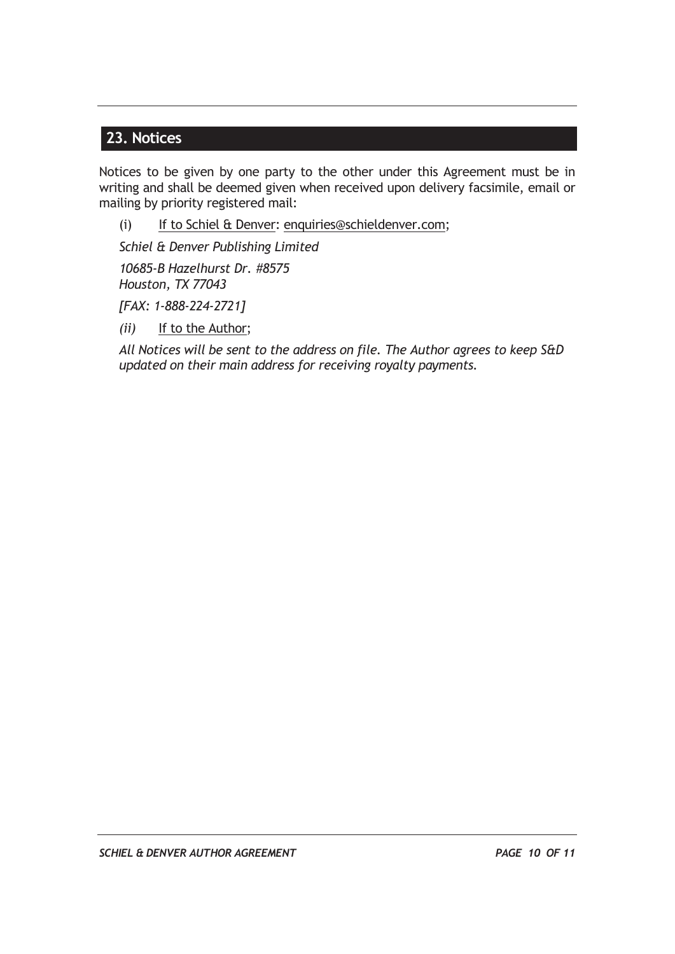#### **23. Notices**

Notices to be given by one party to the other under this Agreement must be in writing and shall be deemed given when received upon delivery facsimile, email or mailing by priority registered mail:

(i) If to Schiel & Denver: enquiries@schieldenver.com;

*Schiel & Denver Publishing Limited* 

*10685-B Hazelhurst Dr. #8575 Houston, TX 77043* 

*[FAX: 1-888-224-2721]* 

*(ii)* If to the Author;

*All Notices will be sent to the address on file. The Author agrees to keep S&D updated on their main address for receiving royalty payments.*